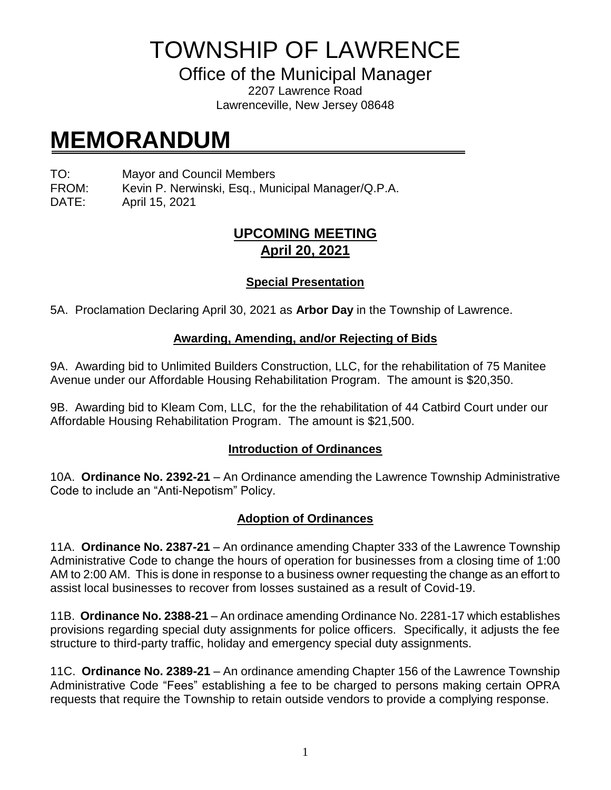TOWNSHIP OF LAWRENCE

Office of the Municipal Manager

2207 Lawrence Road Lawrenceville, New Jersey 08648

# **MEMORANDUM**

TO: Mayor and Council Members

FROM: Kevin P. Nerwinski, Esq., Municipal Manager/Q.P.A.

DATE: April 15, 2021

## **UPCOMING MEETING April 20, 2021**

### **Special Presentation**

5A. Proclamation Declaring April 30, 2021 as **Arbor Day** in the Township of Lawrence.

#### **Awarding, Amending, and/or Rejecting of Bids**

9A. Awarding bid to Unlimited Builders Construction, LLC, for the rehabilitation of 75 Manitee Avenue under our Affordable Housing Rehabilitation Program. The amount is \$20,350.

9B. Awarding bid to Kleam Com, LLC, for the the rehabilitation of 44 Catbird Court under our Affordable Housing Rehabilitation Program. The amount is \$21,500.

#### **Introduction of Ordinances**

10A. **Ordinance No. 2392-21** – An Ordinance amending the Lawrence Township Administrative Code to include an "Anti-Nepotism" Policy.

#### **Adoption of Ordinances**

11A. **Ordinance No. 2387-21** – An ordinance amending Chapter 333 of the Lawrence Township Administrative Code to change the hours of operation for businesses from a closing time of 1:00 AM to 2:00 AM. This is done in response to a business owner requesting the change as an effort to assist local businesses to recover from losses sustained as a result of Covid-19.

11B. **Ordinance No. 2388-21** – An ordinace amending Ordinance No. 2281-17 which establishes provisions regarding special duty assignments for police officers. Specifically, it adjusts the fee structure to third-party traffic, holiday and emergency special duty assignments.

11C. **Ordinance No. 2389-21** – An ordinance amending Chapter 156 of the Lawrence Township Administrative Code "Fees" establishing a fee to be charged to persons making certain OPRA requests that require the Township to retain outside vendors to provide a complying response.